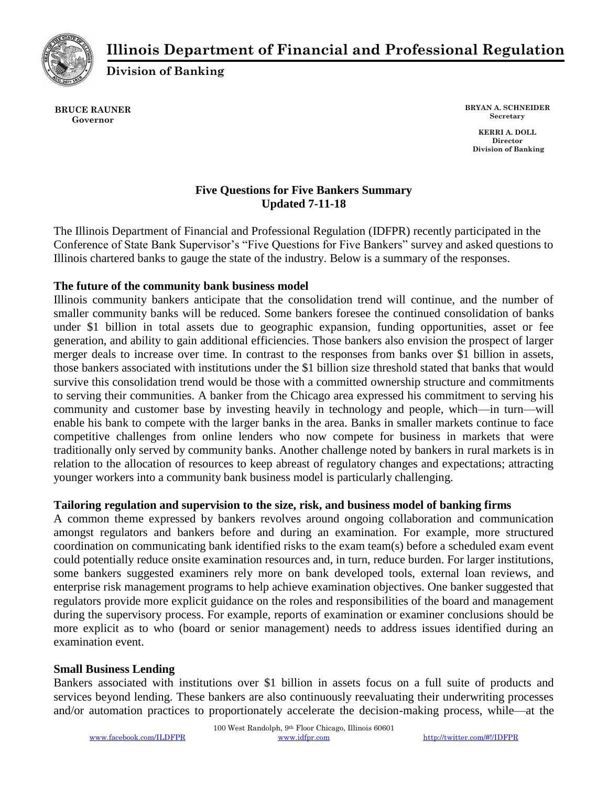

# **Illinois Department of Financial and Professional Regulation**

**Division of Banking**

**BRUCE RAUNER Governor**

**BRYAN A. SCHNEIDER Secretary**

**KERRI A. DOLL Director Division of Banking**

#### **Five Questions for Five Bankers Summary Updated 7-11-18**

The Illinois Department of Financial and Professional Regulation (IDFPR) recently participated in the Conference of State Bank Supervisor's "Five Questions for Five Bankers" survey and asked questions to Illinois chartered banks to gauge the state of the industry. Below is a summary of the responses.

# **The future of the community bank business model**

Illinois community bankers anticipate that the consolidation trend will continue, and the number of smaller community banks will be reduced. Some bankers foresee the continued consolidation of banks under \$1 billion in total assets due to geographic expansion, funding opportunities, asset or fee generation, and ability to gain additional efficiencies. Those bankers also envision the prospect of larger merger deals to increase over time. In contrast to the responses from banks over \$1 billion in assets, those bankers associated with institutions under the \$1 billion size threshold stated that banks that would survive this consolidation trend would be those with a committed ownership structure and commitments to serving their communities. A banker from the Chicago area expressed his commitment to serving his community and customer base by investing heavily in technology and people, which—in turn—will enable his bank to compete with the larger banks in the area. Banks in smaller markets continue to face competitive challenges from online lenders who now compete for business in markets that were traditionally only served by community banks. Another challenge noted by bankers in rural markets is in relation to the allocation of resources to keep abreast of regulatory changes and expectations; attracting younger workers into a community bank business model is particularly challenging.

# **Tailoring regulation and supervision to the size, risk, and business model of banking firms**

A common theme expressed by bankers revolves around ongoing collaboration and communication amongst regulators and bankers before and during an examination. For example, more structured coordination on communicating bank identified risks to the exam team(s) before a scheduled exam event could potentially reduce onsite examination resources and, in turn, reduce burden. For larger institutions, some bankers suggested examiners rely more on bank developed tools, external loan reviews, and enterprise risk management programs to help achieve examination objectives. One banker suggested that regulators provide more explicit guidance on the roles and responsibilities of the board and management during the supervisory process. For example, reports of examination or examiner conclusions should be more explicit as to who (board or senior management) needs to address issues identified during an examination event.

# **Small Business Lending**

Bankers associated with institutions over \$1 billion in assets focus on a full suite of products and services beyond lending. These bankers are also continuously reevaluating their underwriting processes and/or automation practices to proportionately accelerate the decision-making process, while—at the